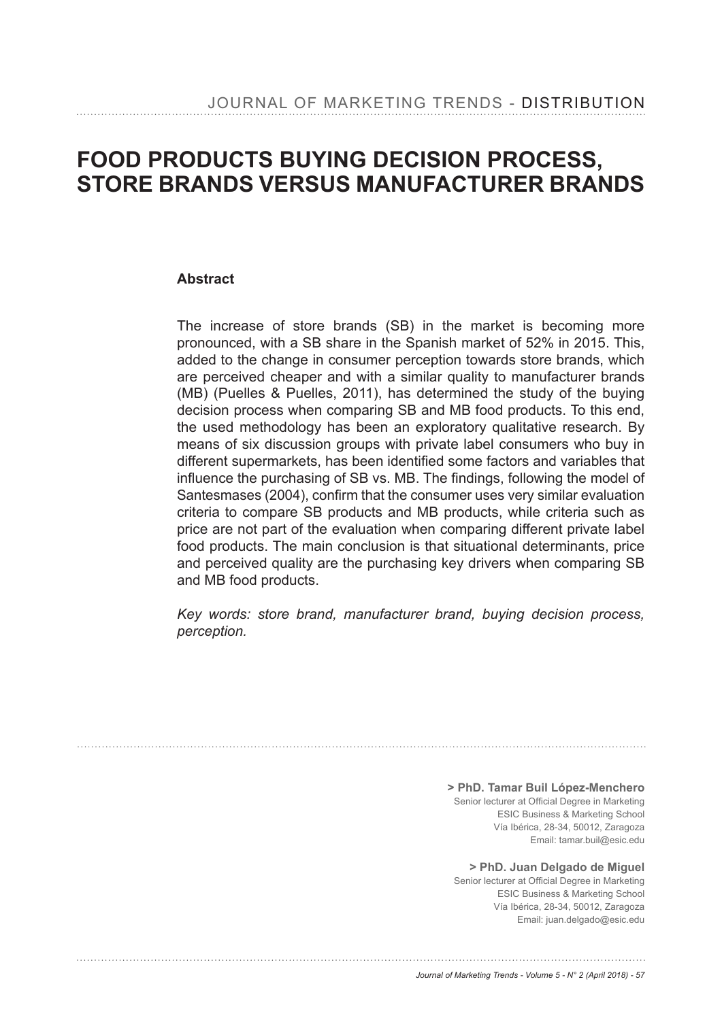# **FOOD PRODUCTS BUYING DECISION PROCESS, STORE BRANDS VERSUS MANUFACTURER BRANDS**

#### **Abstract**

The increase of store brands (SB) in the market is becoming more pronounced, with a SB share in the Spanish market of 52% in 2015. This, added to the change in consumer perception towards store brands, which are perceived cheaper and with a similar quality to manufacturer brands (MB) (Puelles & Puelles, 2011), has determined the study of the buying decision process when comparing SB and MB food products. To this end, the used methodology has been an exploratory qualitative research. By means of six discussion groups with private label consumers who buy in different supermarkets, has been identified some factors and variables that influence the purchasing of SB vs. MB. The findings, following the model of Santesmases (2004), confirm that the consumer uses very similar evaluation criteria to compare SB products and MB products, while criteria such as price are not part of the evaluation when comparing different private label food products. The main conclusion is that situational determinants, price and perceived quality are the purchasing key drivers when comparing SB and MB food products.

*Key words: store brand, manufacturer brand, buying decision process, perception.* 

> **> PhD. Tamar Buil López-Menchero** Senior lecturer at Official Degree in Marketing ESIC Business & Marketing School Vía Ibérica, 28-34, 50012, Zaragoza Email: tamar.buil@esic.edu

**> PhD. Juan Delgado de Miguel** Senior lecturer at Official Degree in Marketing ESIC Business & Marketing School Vía Ibérica, 28-34, 50012, Zaragoza Email: juan.delgado@esic.edu

*Journal of Marketing Trends - Volume 5 - N° 2 (April 2018) - 57*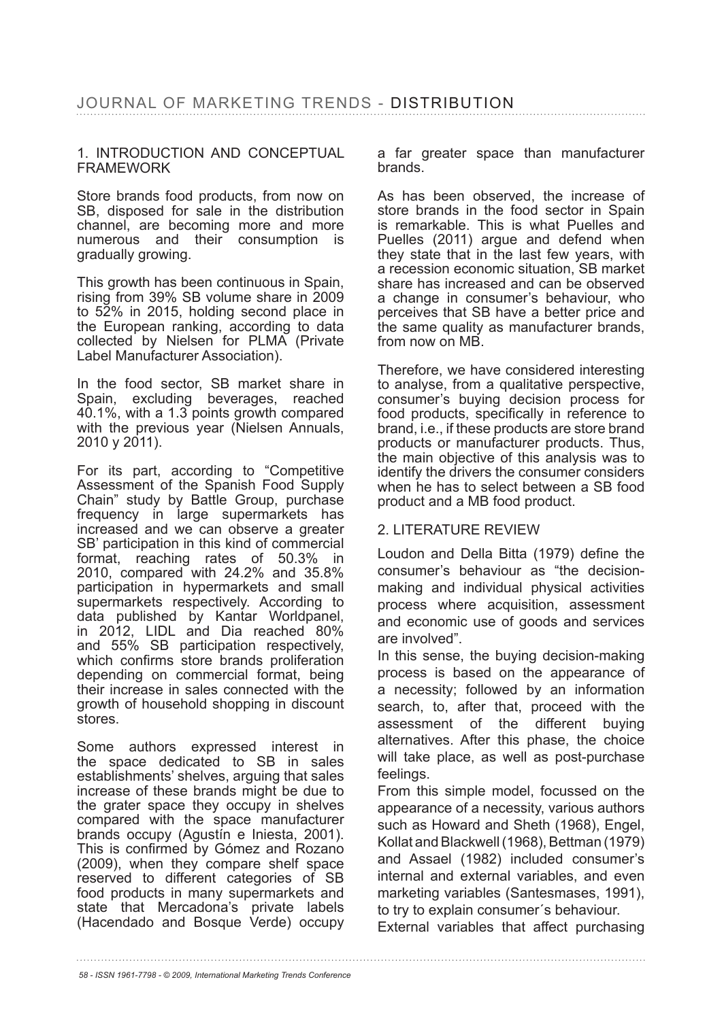#### 1. INTRODUCTION AND CONCEPTUAL FRAMEWORK

Store brands food products, from now on SB, disposed for sale in the distribution channel, are becoming more and more numerous and their consumption is gradually growing.

This growth has been continuous in Spain, rising from 39% SB volume share in 2009 to  $52\%$  in 2015, holding second place in the European ranking, according to data collected by Nielsen for PLMA (Private Label Manufacturer Association).

In the food sector, SB market share in Spain, excluding beverages, reached 40.1%, with a 1.3 points growth compared with the previous year (Nielsen Annuals, 2010 y 2011).

For its part, according to "Competitive Assessment of the Spanish Food Supply Chain" study by Battle Group, purchase frequency in large supermarkets has increased and we can observe a greater SB' participation in this kind of commercial format, reaching rates of  $50.3\%$  in 2010, compared with  $24.2\%$  and  $35.8\%$ participation in hypermarkets and small supermarkets respectively. According to data published by Kantar Worldpanel, in 2012, LIDL and Dia reached 80% and 55% SB participation respectively, which confirms store brands proliferation depending on commercial format, being their increase in sales connected with the growth of household shopping in discount stores.

Some authors expressed interest in the space dedicated to SB in sales establishments' shelves, arguing that sales increase of these brands might be due to the grater space they occupy in shelves compared with the space manufacturer brands occupy (Agustín e Iniesta, 2001). This is confirmed by Gómez and Rozano (2009), when they compare shelf space reserved to different categories of SB food products in many supermarkets and state that Mercadona's private labels (Hacendado and Bosque Verde) occupy a far greater space than manufacturer brands.

As has been observed, the increase of store brands in the food sector in Spain is remarkable. This is what Puelles and Puelles (2011) argue and defend when they state that in the last few years, with a recession economic situation, SB market share has increased and can be observed a change in consumer's behaviour, who perceives that SB have a better price and the same quality as manufacturer brands, from now on MB.

Therefore, we have considered interesting to analyse, from a qualitative perspective, consumer's buying decision process for food products, specifically in reference to brand, i.e., if these products are store brand products or manufacturer products. Thus, the main objective of this analysis was to identify the drivers the consumer considers when he has to select between a SB food product and a MB food product.

#### 2. LITERATURE REVIEW

Loudon and Della Bitta (1979) define the consumer's behaviour as "the decisionmaking and individual physical activities process where acquisition, assessment and economic use of goods and services are involved".

In this sense, the buying decision-making process is based on the appearance of a necessity; followed by an information search, to, after that, proceed with the assessment of the different buying alternatives. After this phase, the choice will take place, as well as post-purchase feelings.

From this simple model, focussed on the appearance of a necessity, various authors such as Howard and Sheth (1968), Engel, Kollat and Blackwell (1968), Bettman (1979). and Assael (1982) included consumer's internal and external variables, and even marketing variables (Santesmases, 1991), to try to explain consumer´s behaviour.

External variables that affect purchasing

*<sup>58 -</sup> ISSN 1961-7798 - © 2009, International Marketing Trends Conference*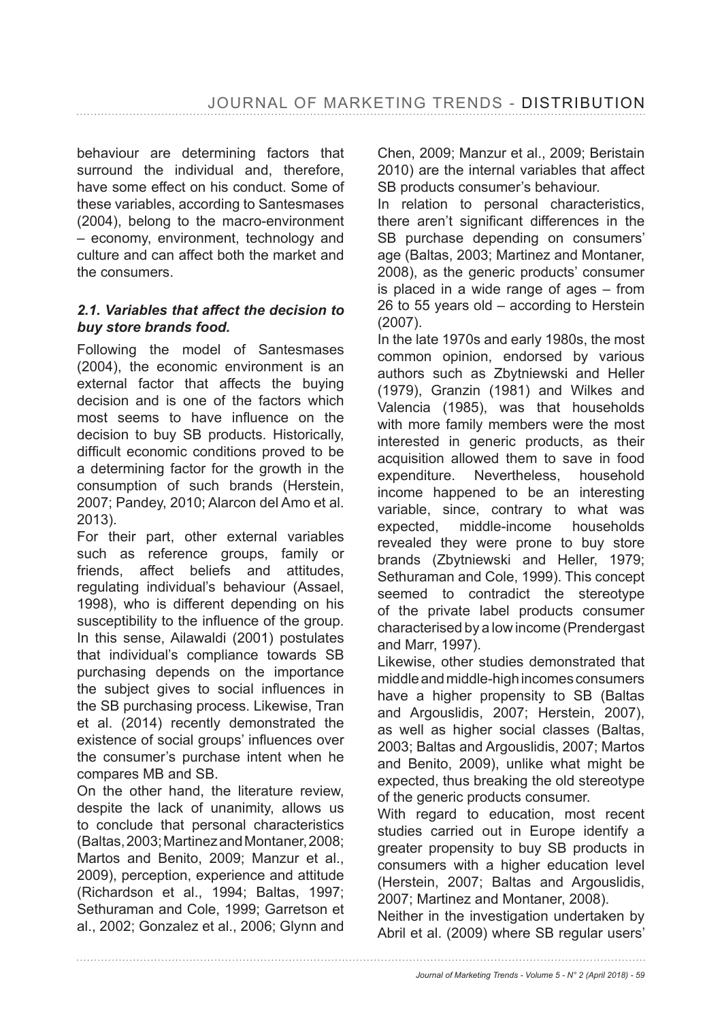behaviour are determining factors that surround the individual and, therefore, have some effect on his conduct. Some of these variables, according to Santesmases (2004), belong to the macro-environment – economy, environment, technology and culture and can affect both the market and the consumers.

### *2.1. Variables that affect the decision to buy store brands food.*

Following the model of Santesmases (2004), the economic environment is an external factor that affects the buying decision and is one of the factors which most seems to have influence on the decision to buy SB products. Historically, difficult economic conditions proved to be a determining factor for the growth in the consumption of such brands (Herstein, 2007; Pandey, 2010; Alarcon del Amo et al. 2013).

For their part, other external variables such as reference groups, family or friends, affect beliefs and attitudes, regulating individual's behaviour (Assael, 1998), who is different depending on his susceptibility to the influence of the group. In this sense, Ailawaldi (2001) postulates that individual's compliance towards SB purchasing depends on the importance the subject gives to social influences in the SB purchasing process. Likewise, Tran et al. (2014) recently demonstrated the existence of social groups' influences over the consumer's purchase intent when he compares MB and SB.

On the other hand, the literature review, despite the lack of unanimity, allows us to conclude that personal characteristics (Baltas, 2003; Martinez and Montaner, 2008; Martos and Benito, 2009; Manzur et al., 2009), perception, experience and attitude (Richardson et al., 1994; Baltas, 1997; Sethuraman and Cole, 1999; Garretson et al., 2002; Gonzalez et al., 2006; Glynn and

Chen, 2009; Manzur et al., 2009; Beristain 2010) are the internal variables that affect SB products consumer's behaviour.

In relation to personal characteristics, there aren't significant differences in the SB purchase depending on consumers' age (Baltas, 2003; Martinez and Montaner, 2008), as the generic products' consumer is placed in a wide range of ages – from 26 to 55 years old – according to Herstein  $(2007)$ .

In the late 1970s and early 1980s, the most common opinion, endorsed by various authors such as Zbytniewski and Heller  $(1979)$ , Granzin  $(1981)$  and Wilkes and Valencia (1985), was that households with more family members were the most interested in generic products, as their acquisition allowed them to save in food expenditure. Nevertheless, household income happened to be an interesting variable, since, contrary to what was expected, middle-income households revealed they were prone to buy store brands (Zbytniewski and Heller, 1979; Sethuraman and Cole, 1999). This concept seemed to contradict the stereotype of the private label products consumer characterised by a low income (Prendergast and Marr. 1997).

Likewise, other studies demonstrated that middle and middle-high incomes consumers have a higher propensity to SB (Baltas and Argouslidis, 2007; Herstein, 2007), as well as higher social classes (Baltas, 2003; Baltas and Argouslidis, 2007; Martos and Benito, 2009), unlike what might be expected, thus breaking the old stereotype of the generic products consumer.

With regard to education, most recent studies carried out in Europe identify a greater propensity to buy SB products in consumers with a higher education level (Herstein, 2007; Baltas and Argouslidis, 2007; Martinez and Montaner, 2008).

Neither in the investigation undertaken by Abril et al. (2009) where SB regular users'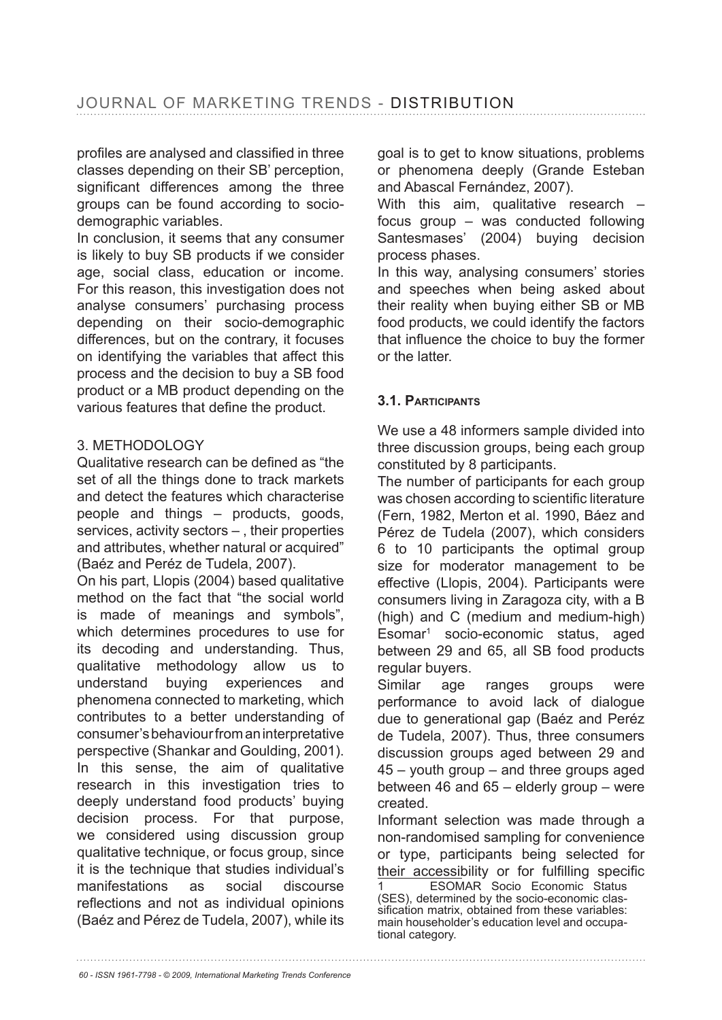profiles are analysed and classified in three classes depending on their SB' perception, significant differences among the three groups can be found according to sociodemographic variables.

In conclusion, it seems that any consumer is likely to buy SB products if we consider age, social class, education or income. For this reason, this investigation does not analyse consumers' purchasing process depending on their socio-demographic differences, but on the contrary, it focuses on identifying the variables that affect this process and the decision to buy a SB food product or a MB product depending on the various features that define the product.

# 3. METHODOLOGY

Qualitative research can be defined as "the set of all the things done to track markets and detect the features which characterise people and things – products, goods, services, activity sectors – , their properties and attributes, whether natural or acquired" (Baéz and Peréz de Tudela, 2007).

On his part, Llopis (2004) based qualitative method on the fact that "the social world is made of meanings and symbols", which determines procedures to use for its decoding and understanding. Thus, qualitative methodology allow us to understand buying experiences and phenomena connected to marketing, which contributes to a better understanding of consumer's behaviour from an interpretative perspective (Shankar and Goulding, 2001). In this sense, the aim of qualitative research in this investigation tries to deeply understand food products' buying decision process. For that purpose, we considered using discussion group qualitative technique, or focus group, since it is the technique that studies individual's manifestations as social discourse reflections and not as individual opinions (Baéz and Pérez de Tudela, 2007), while its goal is to get to know situations, problems or phenomena deeply (Grande Esteban and Abascal Fernández, 2007).

With this aim, qualitative research focus group – was conducted following Santesmases' (2004) buying decision process phases.

In this way, analysing consumers' stories and speeches when being asked about their reality when buying either SB or MB food products, we could identify the factors that influence the choice to buy the former or the latter.

# **3.1. PARTICIPANTS**

We use a 48 informers sample divided into three discussion groups, being each group constituted by 8 participants.

The number of participants for each group was chosen according to scientific literature (Fern, 1982, Merton et al. 1990, Báez and Pérez de Tudela (2007), which considers 6 to 10 participants the optimal group size for moderator management to be effective (Llopis, 2004). Participants were consumers living in Zaragoza city, with a B (high) and C (medium and medium-high) Esomar1 socio-economic status, aged between 29 and 65, all SB food products regular buyers.

Similar age ranges groups were performance to avoid lack of dialogue due to generational gap (Baéz and Peréz de Tudela, 2007). Thus, three consumers discussion groups aged between 29 and 45 – youth group – and three groups aged between 46 and 65 – elderly group – were created.

Informant selection was made through a non-randomised sampling for convenience or type, participants being selected for their accessibility or for fulfilling specific 1 ESOMAR Socio Economic Status (SES), determined by the socio-economic classification matrix, obtained from these variables: main householder's education level and occupational category.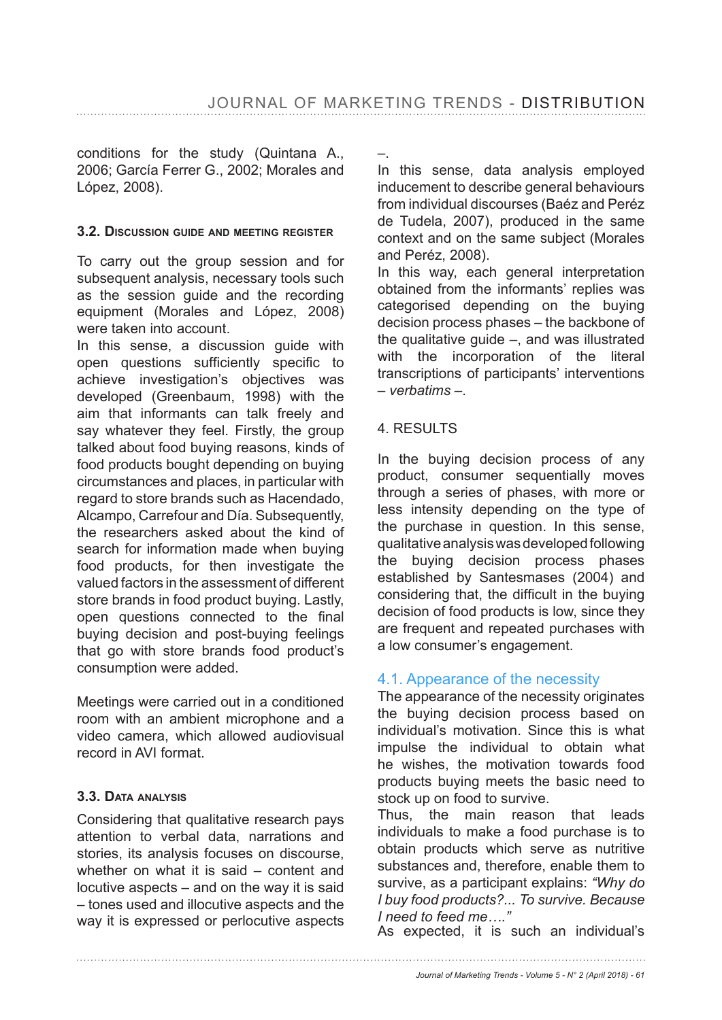conditions for the study (Quintana A., 2006; García Ferrer G., 2002; Morales and López, 2008).

#### **3.2. DISCUSSION GUIDE AND MEETING REGISTER**

To carry out the group session and for subsequent analysis, necessary tools such as the session guide and the recording equipment (Morales and López, 2008) were taken into account.

In this sense, a discussion guide with open questions sufficiently specific to achieve investigation's objectives was developed (Greenbaum, 1998) with the aim that informants can talk freely and say whatever they feel. Firstly, the group talked about food buying reasons, kinds of food products bought depending on buying circumstances and places, in particular with regard to store brands such as Hacendado, Alcampo, Carrefour and Día. Subsequently, the researchers asked about the kind of search for information made when buying food products, for then investigate the valued factors in the assessment of different store brands in food product buying. Lastly, open questions connected to the final buying decision and post-buying feelings that go with store brands food product's consumption were added.

Meetings were carried out in a conditioned room with an ambient microphone and a video camera, which allowed audiovisual record in AVI format.

# **3.3. DATA ANALYSIS**

Considering that qualitative research pays attention to verbal data, narrations and stories, its analysis focuses on discourse, whether on what it is said – content and locutive aspects – and on the way it is said – tones used and illocutive aspects and the way it is expressed or perlocutive aspects –.

In this sense, data analysis employed inducement to describe general behaviours from individual discourses (Baéz and Peréz de Tudela, 2007), produced in the same context and on the same subject (Morales and Peréz, 2008).

In this way, each general interpretation obtained from the informants' replies was categorised depending on the buying decision process phases – the backbone of the qualitative guide –, and was illustrated with the incorporation of the literal transcriptions of participants' interventions – *verbatims* –.

# 4. RESULTS

In the buying decision process of any product, consumer sequentially moves through a series of phases, with more or less intensity depending on the type of the purchase in question. In this sense, qualitative analysis was developed following the buying decision process phases established by Santesmases (2004) and considering that, the difficult in the buying decision of food products is low, since they are frequent and repeated purchases with a low consumer's engagement.

# 4.1. Appearance of the necessity

The appearance of the necessity originates the buying decision process based on individual's motivation. Since this is what impulse the individual to obtain what he wishes, the motivation towards food products buying meets the basic need to stock up on food to survive.

Thus, the main reason that leads individuals to make a food purchase is to obtain products which serve as nutritive substances and, therefore, enable them to survive, as a participant explains: *"Why do I buy food products?... To survive. Because I need to feed me…."* 

As expected, it is such an individual's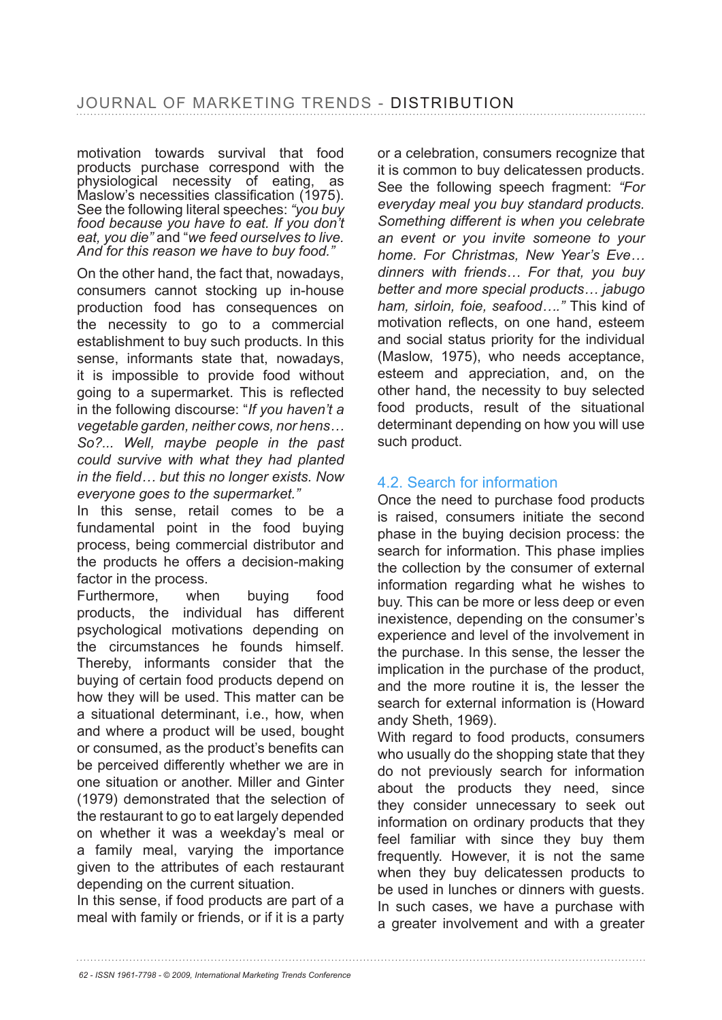motivation towards survival that food products purchase correspond with the physiological necessity of eating, as  $M$ aslow's necessities classification (1975). See the following literal speeches: *"you buy food because you have to eat. If you don't eat, you die"* and "*we feed ourselves to live. And for this reason we have to buy food."*

On the other hand, the fact that, nowadays, consumers cannot stocking up in-house production food has consequences on the necessity to go to a commercial establishment to buy such products. In this sense, informants state that, nowadays, it is impossible to provide food without going to a supermarket. This is reflected in the following discourse: "*If you haven't a vegetable garden, neither cows, nor hens… So?... Well, maybe people in the past could survive with what they had planted*  in the field... but this no longer exists. Now *everyone goes to the supermarket."*

In this sense, retail comes to be a fundamental point in the food buying process, being commercial distributor and the products he offers a decision-making factor in the process.

Furthermore, when buying food products, the individual has different psychological motivations depending on the circumstances he founds himself. Thereby, informants consider that the buying of certain food products depend on how they will be used. This matter can be a situational determinant, i.e., how, when and where a product will be used, bought or consumed, as the product's benefits can be perceived differently whether we are in one situation or another. Miller and Ginter  $(1979)$  demonstrated that the selection of the restaurant to go to eat largely depended on whether it was a weekday's meal or a family meal, varying the importance given to the attributes of each restaurant depending on the current situation.

In this sense, if food products are part of a meal with family or friends, or if it is a party or a celebration, consumers recognize that it is common to buy delicatessen products. See the following speech fragment: *"For everyday meal you buy standard products. Something different is when you celebrate an event or you invite someone to your home. For Christmas, New Year's Eve… dinners with friends… For that, you buy better and more special products… jabugo ham, sirloin, foie, seafood…."* This kind of motivation reflects, on one hand, esteem and social status priority for the individual (Maslow, 1975), who needs acceptance, esteem and appreciation, and, on the other hand, the necessity to buy selected food products, result of the situational determinant depending on how you will use such product.

# 4.2. Search for information

Once the need to purchase food products is raised, consumers initiate the second phase in the buying decision process: the search for information. This phase implies the collection by the consumer of external information regarding what he wishes to buy. This can be more or less deep or even inexistence, depending on the consumer's experience and level of the involvement in the purchase. In this sense, the lesser the implication in the purchase of the product, and the more routine it is, the lesser the search for external information is (Howard andy Sheth, 1969).

With regard to food products, consumers who usually do the shopping state that they do not previously search for information about the products they need, since they consider unnecessary to seek out information on ordinary products that they feel familiar with since they buy them frequently. However, it is not the same when they buy delicatessen products to be used in lunches or dinners with guests. In such cases, we have a purchase with a greater involvement and with a greater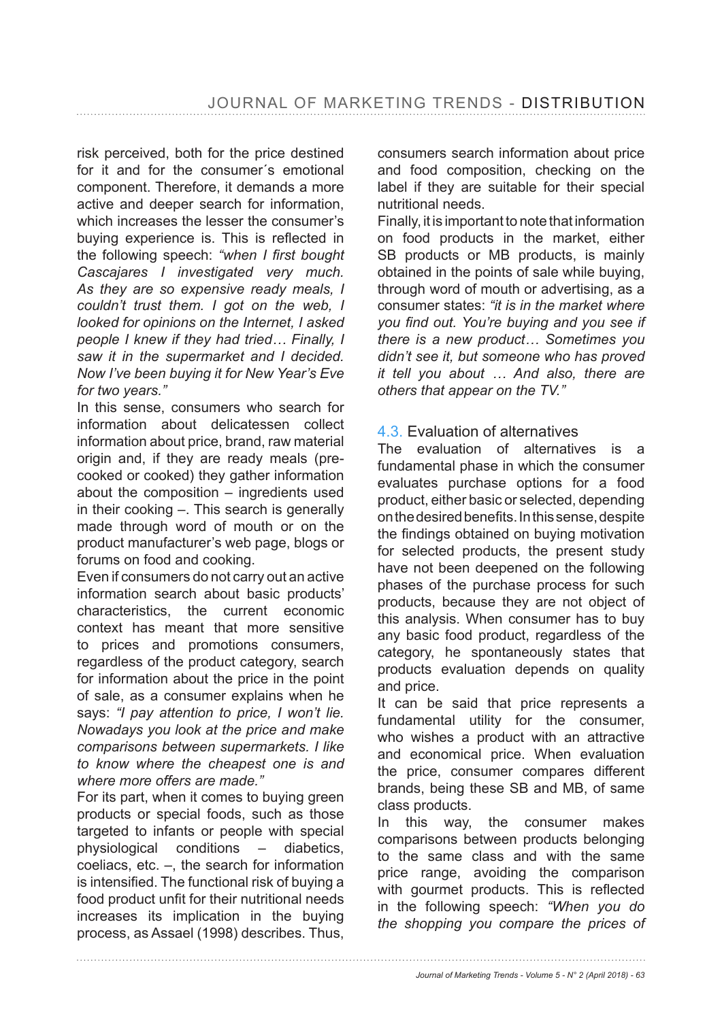risk perceived, both for the price destined for it and for the consumer´s emotional component. Therefore, it demands a more active and deeper search for information, which increases the lesser the consumer's buving experience is. This is reflected in the following speech: "when I first bought *Cascajares I investigated very much. As they are so expensive ready meals, I couldn't trust them. I got on the web, I looked for opinions on the Internet, I asked people I knew if they had tried… Finally, I saw it in the supermarket and I decided. Now I've been buying it for New Year's Eve for two years."* 

In this sense, consumers who search for information about delicatessen collect information about price, brand, raw material origin and, if they are ready meals (precooked or cooked) they gather information about the composition – ingredients used in their cooking –. This search is generally made through word of mouth or on the product manufacturer's web page, blogs or forums on food and cooking.

Even if consumers do not carry out an active information search about basic products' characteristics, the current economic context has meant that more sensitive to prices and promotions consumers, regardless of the product category, search for information about the price in the point of sale, as a consumer explains when he says: *"I pay attention to price, I won't lie. Nowadays you look at the price and make comparisons between supermarkets. I like to know where the cheapest one is and where more offers are made."* 

For its part, when it comes to buying green products or special foods, such as those targeted to infants or people with special physiological conditions – diabetics, coeliacs, etc. –, the search for information is intensified. The functional risk of buving a food product unfit for their nutritional needs increases its implication in the buying process, as Assael (1998) describes. Thus,

consumers search information about price and food composition, checking on the label if they are suitable for their special nutritional needs.

Finally, it is important to note that information on food products in the market, either SB products or MB products, is mainly obtained in the points of sale while buying, through word of mouth or advertising, as a consumer states: *"it is in the market where*  you find out. You're buying and you see if *there is a new product… Sometimes you didn't see it, but someone who has proved it tell you about … And also, there are others that appear on the TV."* 

# 4.3. Evaluation of alternatives

The evaluation of alternatives is a fundamental phase in which the consumer evaluates purchase options for a food product, either basic or selected, depending on the desired benefits, In this sense, despite the findings obtained on buying motivation for selected products, the present study have not been deepened on the following phases of the purchase process for such products, because they are not object of this analysis. When consumer has to buy any basic food product, regardless of the category, he spontaneously states that products evaluation depends on quality and price.

It can be said that price represents a fundamental utility for the consumer, who wishes a product with an attractive and economical price. When evaluation the price, consumer compares different brands, being these SB and MB, of same class products.

In this way, the consumer makes comparisons between products belonging to the same class and with the same price range, avoiding the comparison with gourmet products. This is reflected in the following speech: *"When you do the shopping you compare the prices of* 

*Journal of Marketing Trends - Volume 5 - N° 2 (April 2018) - 63*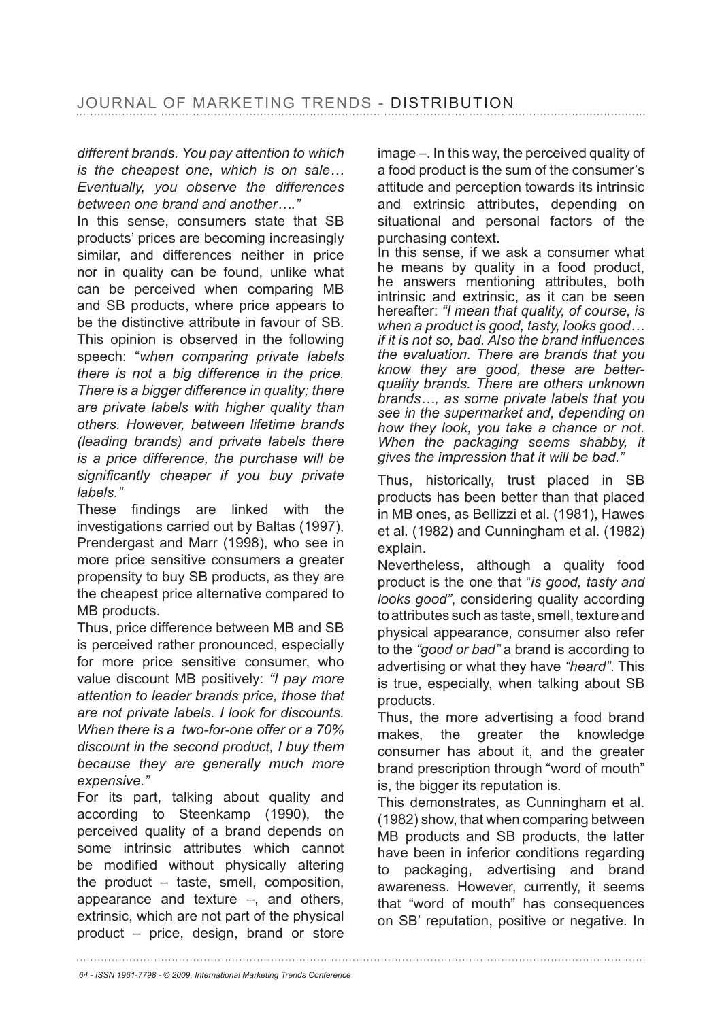*different brands. You pay attention to which is the cheapest one, which is on sale… Eventually, you observe the differences between one brand and another…."* 

In this sense, consumers state that SB products' prices are becoming increasingly similar, and differences neither in price nor in quality can be found, unlike what can be perceived when comparing MB and SB products, where price appears to be the distinctive attribute in favour of SB. This opinion is observed in the following speech: "*when comparing private labels there is not a big difference in the price. There is a bigger difference in quality; there are private labels with higher quality than others. However, between lifetime brands (leading brands) and private labels there is a price difference, the purchase will be*  significantly cheaper if you buy private *labels."* 

These findings are linked with the investigations carried out by Baltas (1997), Prendergast and Marr (1998), who see in more price sensitive consumers a greater propensity to buy SB products, as they are the cheapest price alternative compared to MB products.

Thus, price difference between MB and SB is perceived rather pronounced, especially for more price sensitive consumer, who value discount MB positively: *"I pay more attention to leader brands price, those that are not private labels. I look for discounts. When there is a two-for-one offer or a 70% discount in the second product, I buy them because they are generally much more expensive."* 

For its part, talking about quality and according to Steenkamp (1990), the perceived quality of a brand depends on some intrinsic attributes which cannot be modified without physically altering the product – taste, smell, composition, appearance and texture –, and others, extrinsic, which are not part of the physical product – price, design, brand or store image –. In this way, the perceived quality of a food product is the sum of the consumer's attitude and perception towards its intrinsic and extrinsic attributes, depending on situational and personal factors of the purchasing context.

In this sense, if we ask a consumer what he means by quality in a food product, he answers mentioning attributes, both intrinsic and extrinsic, as it can be seen hereafter: *"I mean that quality, of course, is when a product is good, tasty, looks good…*  if it is not so, bad. Also the brand influences *the evaluation. There are brands that you know they are good, these are betterquality brands. There are others unknown brands…, as some private labels that you see in the supermarket and, depending on how they look, you take a chance or not. When the packaging seems shabby, it gives the impression that it will be bad."* 

Thus, historically, trust placed in SB products has been better than that placed in MB ones, as Bellizzi et al. (1981), Hawes et al. (1982) and Cunningham et al. (1982) explain.

Nevertheless, although a quality food product is the one that "*is good, tasty and looks good"*, considering quality according to attributes such as taste, smell, texture and physical appearance, consumer also refer to the *"good or bad"* a brand is according to advertising or what they have *"heard"*. This is true, especially, when talking about SB products.

Thus, the more advertising a food brand makes, the greater the knowledge consumer has about it, and the greater brand prescription through "word of mouth" is, the bigger its reputation is.

This demonstrates, as Cunningham et al. (1982) show, that when comparing between MB products and SB products, the latter have been in inferior conditions regarding to packaging, advertising and brand awareness. However, currently, it seems that "word of mouth" has consequences on SB' reputation, positive or negative. In

*64 - ISSN 1961-7798 - © 2009, International Marketing Trends Conference*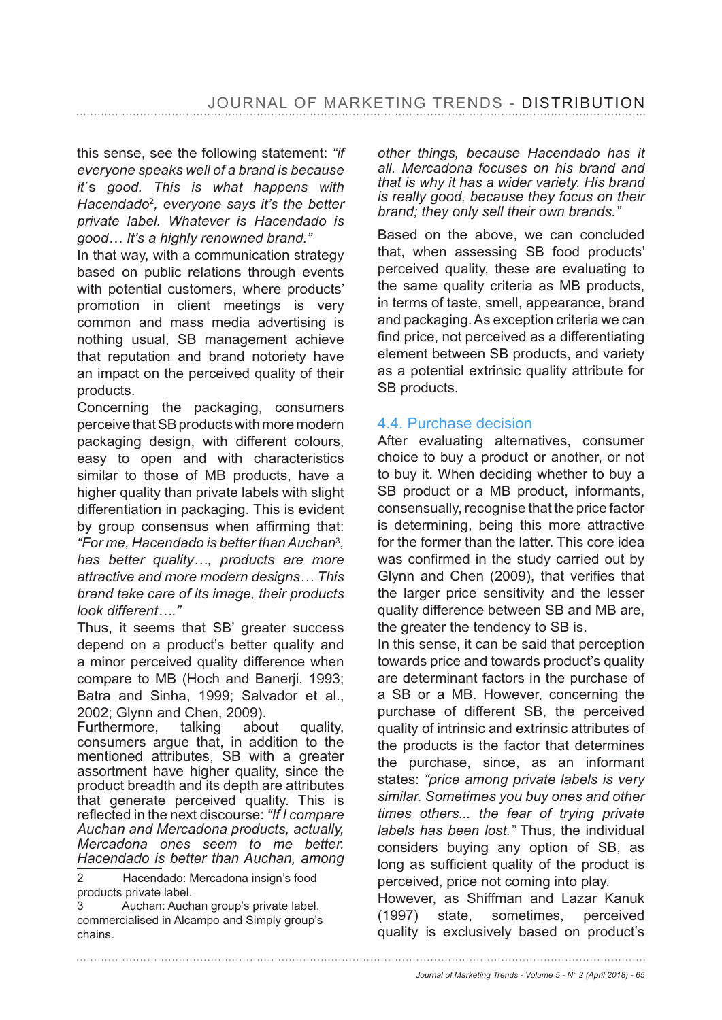this sense, see the following statement: *"if everyone speaks well of a brand is because it*´s *good. This is what happens with Hacendado*<sup>2</sup> *, everyone says it's the better private label. Whatever is Hacendado is good… It's a highly renowned brand."*

In that way, with a communication strategy based on public relations through events with potential customers, where products' promotion in client meetings is very common and mass media advertising is nothing usual, SB management achieve that reputation and brand notoriety have an impact on the perceived quality of their products.

Concerning the packaging, consumers perceive that SB products with more modern packaging design, with different colours, easy to open and with characteristics similar to those of MB products, have a higher quality than private labels with slight differentiation in packaging. This is evident by group consensus when affirming that: *"For me, Hacendado is better than Auchan*<sup>3</sup> *, has better quality…, products are more attractive and more modern designs… This brand take care of its image, their products look different…."*

Thus, it seems that SB' greater success depend on a product's better quality and a minor perceived quality difference when compare to MB (Hoch and Banerji, 1993; Batra and Sinha, 1999; Salvador et al., 2002; Glynn and Chen, 2009).

Furthermore, talking about quality, consumers argue that, in addition to the mentioned attributes, SB with a greater assortment have higher quality, since the product breadth and its depth are attributes that generate perceived quality. This is  $I$  reflected in the next discourse: "If I compare *Auchan and Mercadona products, actually, Mercadona ones seem to me better. Hacendado is better than Auchan, among* 

2 Hacendado: Mercadona insign's food products private label.

3 Auchan: Auchan group's private label, commercialised in Alcampo and Simply group's chains.

*other things, because Hacendado has it all. Mercadona focuses on his brand and that is why it has a wider variety. His brand is really good, because they focus on their brand; they only sell their own brands."* 

Based on the above, we can concluded that, when assessing SB food products' perceived quality, these are evaluating to the same quality criteria as MB products, in terms of taste, smell, appearance, brand and packaging. As exception criteria we can find price, not perceived as a differentiating element between SB products, and variety as a potential extrinsic quality attribute for SB products.

# 4.4. Purchase decision

After evaluating alternatives, consumer choice to buy a product or another, or not to buy it. When deciding whether to buy a SB product or a MB product, informants, consensually, recognise that the price factor is determining, being this more attractive for the former than the latter. This core idea was confirmed in the study carried out by Glynn and Chen (2009), that verifies that the larger price sensitivity and the lesser quality difference between SB and MB are, the greater the tendency to SB is.

In this sense, it can be said that perception towards price and towards product's quality are determinant factors in the purchase of a SB or a MB. However, concerning the purchase of different SB, the perceived quality of intrinsic and extrinsic attributes of the products is the factor that determines the purchase, since, as an informant states: *"price among private labels is very similar. Sometimes you buy ones and other times others... the fear of trying private labels has been lost."* Thus, the individual considers buying any option of SB, as long as sufficient quality of the product is perceived, price not coming into play.

However, as Shiffman and Lazar Kanuk (1997) state, sometimes, perceived quality is exclusively based on product's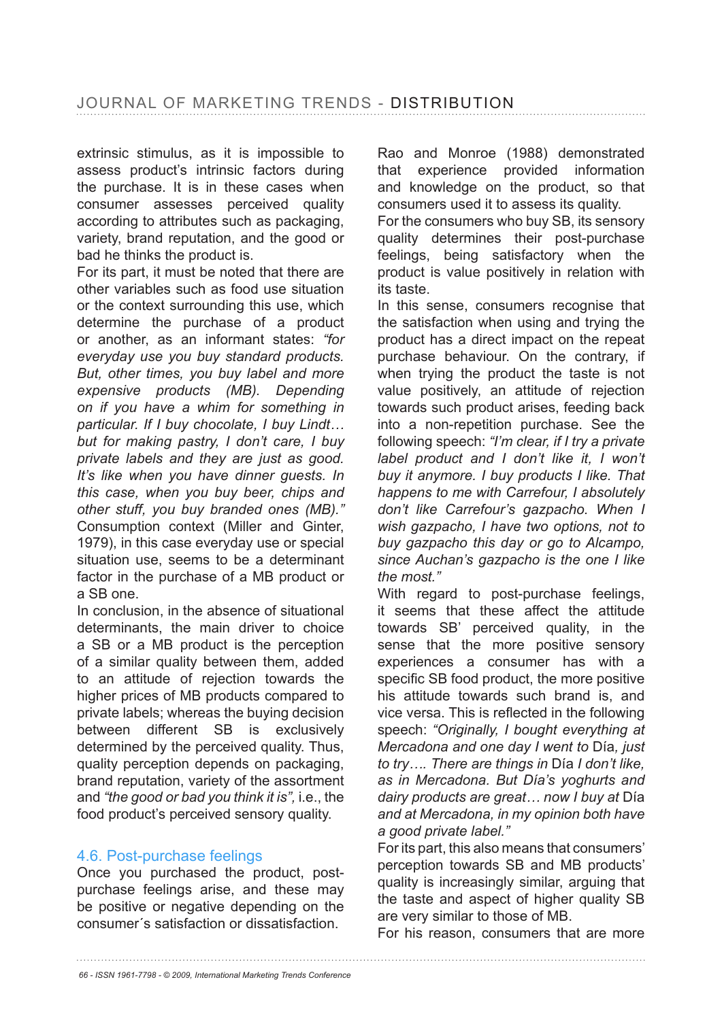extrinsic stimulus, as it is impossible to assess product's intrinsic factors during the purchase. It is in these cases when consumer assesses perceived quality according to attributes such as packaging, variety, brand reputation, and the good or bad he thinks the product is.

For its part, it must be noted that there are other variables such as food use situation or the context surrounding this use, which determine the purchase of a product or another, as an informant states: *"for everyday use you buy standard products. But, other times, you buy label and more expensive products (MB). Depending on if you have a whim for something in particular. If I buy chocolate, I buy Lindt… but for making pastry, I don't care, I buy private labels and they are just as good. It's like when you have dinner guests. In this case, when you buy beer, chips and other stuff, you buy branded ones (MB)."*  Consumption context (Miller and Ginter, 1979), in this case everyday use or special situation use, seems to be a determinant factor in the purchase of a MB product or a SB one.

In conclusion, in the absence of situational determinants, the main driver to choice a SB or a MB product is the perception of a similar quality between them, added to an attitude of rejection towards the higher prices of MB products compared to private labels; whereas the buying decision between different SB is exclusively determined by the perceived quality. Thus, quality perception depends on packaging, brand reputation, variety of the assortment and *"the good or bad you think it is",* i.e., the food product's perceived sensory quality.

# 4.6. Post-purchase feelings

Once you purchased the product, postpurchase feelings arise, and these may be positive or negative depending on the consumer´s satisfaction or dissatisfaction.

Rao and Monroe (1988) demonstrated that experience provided information and knowledge on the product, so that consumers used it to assess its quality.

For the consumers who buy SB, its sensory quality determines their post-purchase feelings, being satisfactory when the product is value positively in relation with its taste.

In this sense, consumers recognise that the satisfaction when using and trying the product has a direct impact on the repeat purchase behaviour. On the contrary, if when trying the product the taste is not value positively, an attitude of rejection towards such product arises, feeding back into a non-repetition purchase. See the following speech: *"I'm clear, if I try a private label product and I don't like it, I won't buy it anymore. I buy products I like. That happens to me with Carrefour, I absolutely don't like Carrefour's gazpacho. When I wish gazpacho, I have two options, not to buy gazpacho this day or go to Alcampo, since Auchan's gazpacho is the one I like the most."* 

With regard to post-purchase feelings, it seems that these affect the attitude towards SB' perceived quality, in the sense that the more positive sensory experiences a consumer has with a specific SB food product, the more positive his attitude towards such brand is, and vice versa. This is reflected in the following speech: *"Originally, I bought everything at Mercadona and one day I went to* Día*, just to try…. There are things in* Día *I don't like, as in Mercadona. But Día's yoghurts and dairy products are great… now I buy at* Día *and at Mercadona, in my opinion both have a good private label."*

For its part, this also means that consumers' perception towards SB and MB products' quality is increasingly similar, arguing that the taste and aspect of higher quality SB are very similar to those of MB.

For his reason, consumers that are more

*66 - ISSN 1961-7798 - © 2009, International Marketing Trends Conference*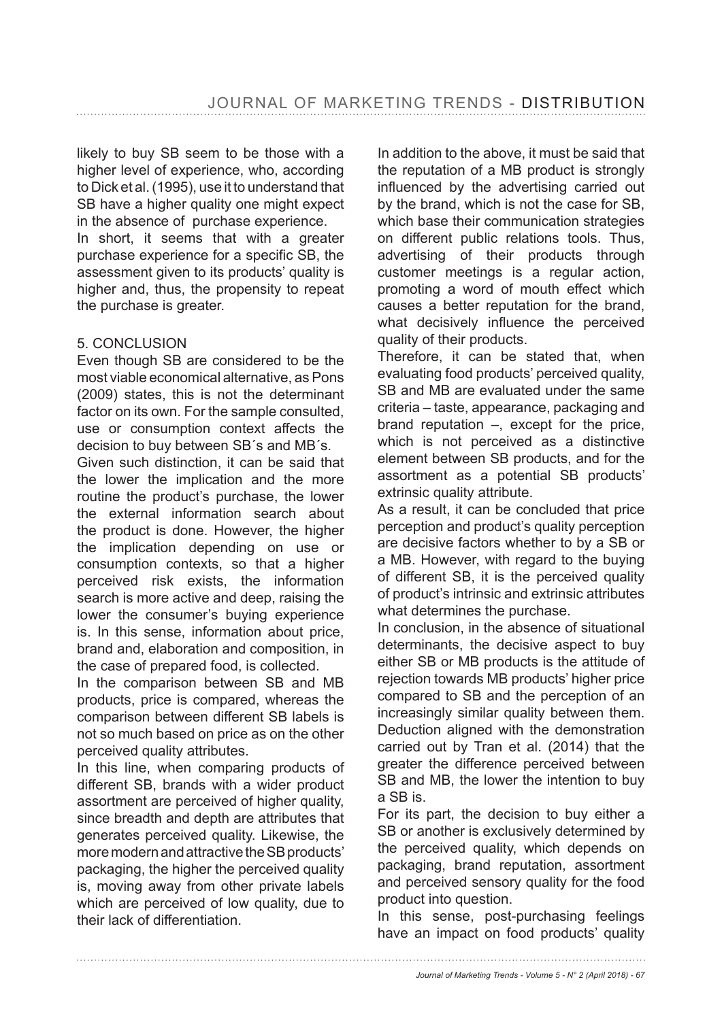likely to buy SB seem to be those with a higher level of experience, who, according to Dick et al. (1995), use it to understand that SB have a higher quality one might expect in the absence of purchase experience.

In short, it seems that with a greater purchase experience for a specific SB, the assessment given to its products' quality is higher and, thus, the propensity to repeat the purchase is greater.

#### 5. CONCLUSION

Even though SB are considered to be the most viable economical alternative, as Pons (2009) states, this is not the determinant factor on its own. For the sample consulted, use or consumption context affects the decision to buy between SB´s and MB´s.

Given such distinction, it can be said that the lower the implication and the more routine the product's purchase, the lower the external information search about the product is done. However, the higher the implication depending on use or consumption contexts, so that a higher perceived risk exists, the information search is more active and deep, raising the lower the consumer's buying experience is. In this sense, information about price, brand and, elaboration and composition, in the case of prepared food, is collected.

In the comparison between SB and MB products, price is compared, whereas the comparison between different SB labels is not so much based on price as on the other perceived quality attributes.

In this line, when comparing products of different SB, brands with a wider product assortment are perceived of higher quality, since breadth and depth are attributes that generates perceived quality. Likewise, the more modern and attractive the SB products' packaging, the higher the perceived quality is, moving away from other private labels which are perceived of low quality, due to their lack of differentiation.

In addition to the above, it must be said that the reputation of a MB product is strongly influenced by the advertising carried out by the brand, which is not the case for SB, which base their communication strategies on different public relations tools. Thus, advertising of their products through customer meetings is a regular action, promoting a word of mouth effect which causes a better reputation for the brand, what decisively influence the perceived quality of their products.

Therefore, it can be stated that, when evaluating food products' perceived quality, SB and MB are evaluated under the same criteria – taste, appearance, packaging and brand reputation –, except for the price, which is not perceived as a distinctive element between SB products, and for the assortment as a potential SB products' extrinsic quality attribute.

As a result, it can be concluded that price perception and product's quality perception are decisive factors whether to by a SB or a MB. However, with regard to the buying of different SB, it is the perceived quality of product's intrinsic and extrinsic attributes what determines the purchase.

In conclusion, in the absence of situational determinants, the decisive aspect to buy either SB or MB products is the attitude of rejection towards MB products' higher price compared to SB and the perception of an increasingly similar quality between them. Deduction aligned with the demonstration carried out by Tran et al. (2014) that the greater the difference perceived between SB and MB, the lower the intention to buy a SB is.

For its part, the decision to buy either a SB or another is exclusively determined by the perceived quality, which depends on packaging, brand reputation, assortment and perceived sensory quality for the food product into question.

In this sense, post-purchasing feelings have an impact on food products' quality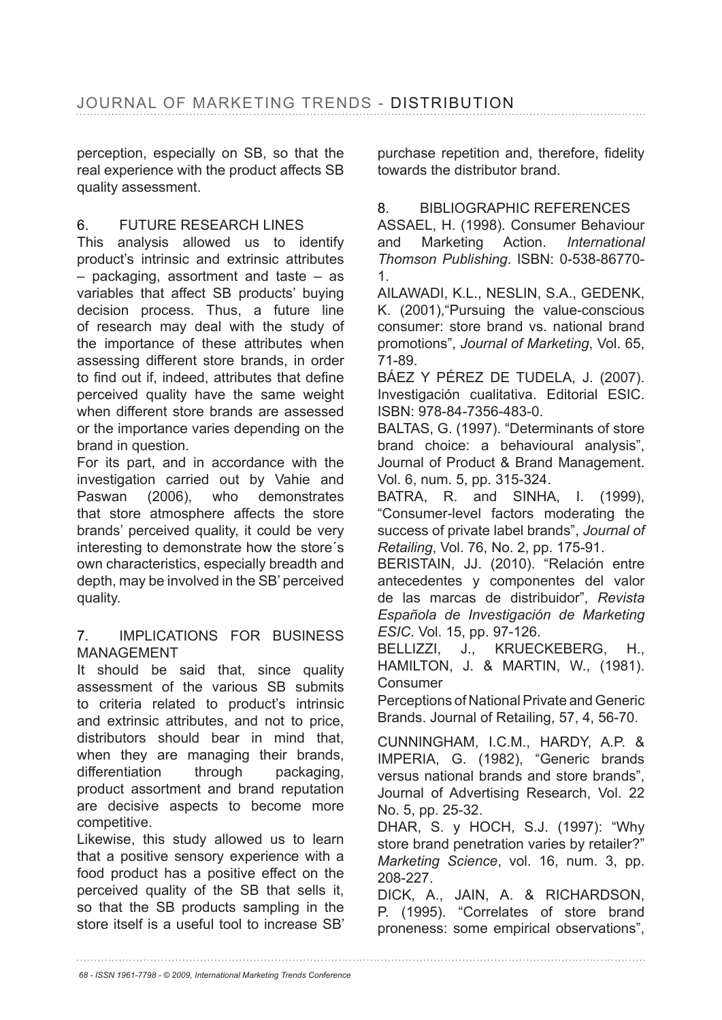perception, especially on SB, so that the real experience with the product affects SB quality assessment.

# 6. FUTURE RESEARCH LINES

This analysis allowed us to identify product's intrinsic and extrinsic attributes – packaging, assortment and taste – as variables that affect SB products' buying decision process. Thus, a future line of research may deal with the study of the importance of these attributes when assessing different store brands, in order to find out if, indeed, attributes that define perceived quality have the same weight when different store brands are assessed or the importance varies depending on the brand in question.

For its part, and in accordance with the investigation carried out by Vahie and Paswan (2006), who demonstrates that store atmosphere affects the store brands' perceived quality, it could be very interesting to demonstrate how the store´s own characteristics, especially breadth and depth, may be involved in the SB' perceived quality.

#### 7. IMPLICATIONS FOR BUSINESS MANAGEMENT

It should be said that, since quality assessment of the various SB submits to criteria related to product's intrinsic and extrinsic attributes, and not to price, distributors should bear in mind that, when they are managing their brands, differentiation through packaging, product assortment and brand reputation are decisive aspects to become more competitive.

Likewise, this study allowed us to learn that a positive sensory experience with a food product has a positive effect on the perceived quality of the SB that sells it, so that the SB products sampling in the store itself is a useful tool to increase SB' purchase repetition and, therefore, fidelity towards the distributor brand.

# 8. BIBLIOGRAPHIC REFERENCES

ASSAEL, H. (1998). Consumer Behaviour and Marketing Action. *International Thomson Publishing*. ISBN: 0-538-86770-1.

AILAWADI, K.L., NESLIN, S.A., GEDENK, K. (2001),"Pursuing the value-conscious consumer: store brand vs. national brand promotions", *Journal of Marketing*, Vol. 65, 71-89.

BÁEZ Y PÉREZ DE TUDELA, J. (2007). Investigación cualitativa. Editorial ESIC. ISBN: 978-84-7356-483-0.

BALTAS, G. (1997). "Determinants of store brand choice: a behavioural analysis", Journal of Product & Brand Management. Vol. 6, num. 5, pp. 315-324.

BATRA, R. and SINHA, I. (1999), "Consumer-level factors moderating the success of private label brands", *Journal of Retailing*, Vol. 76, No. 2, pp. 175-91.

BERISTAIN, JJ. (2010). "Relación entre antecedentes y componentes del valor de las marcas de distribuidor", *Revista Española de Investigación de Marketing ESIC.* Vol. 15, pp. 97-126.

BELLIZZI, J., KRUECKEBERG, H., HAMILTON, J. & MARTIN, W., (1981). Consumer

Perceptions of National Private and Generic Brands. Journal of Retailing, 57, 4, 56-70.

CUNNINGHAM, I.C.M., HARDY, A.P. & IMPERIA, G. (1982), "Generic brands versus national brands and store brands", Journal of Advertising Research, Vol. 22 No. 5, pp. 25-32.

DHAR, S. y HOCH, S.J. (1997): "Why store brand penetration varies by retailer?" *Marketing Science*, vol. 16, num. 3, pp. 208-227.

DICK, A., JAIN, A. & RICHARDSON, P. (1995). "Correlates of store brand proneness: some empirical observations",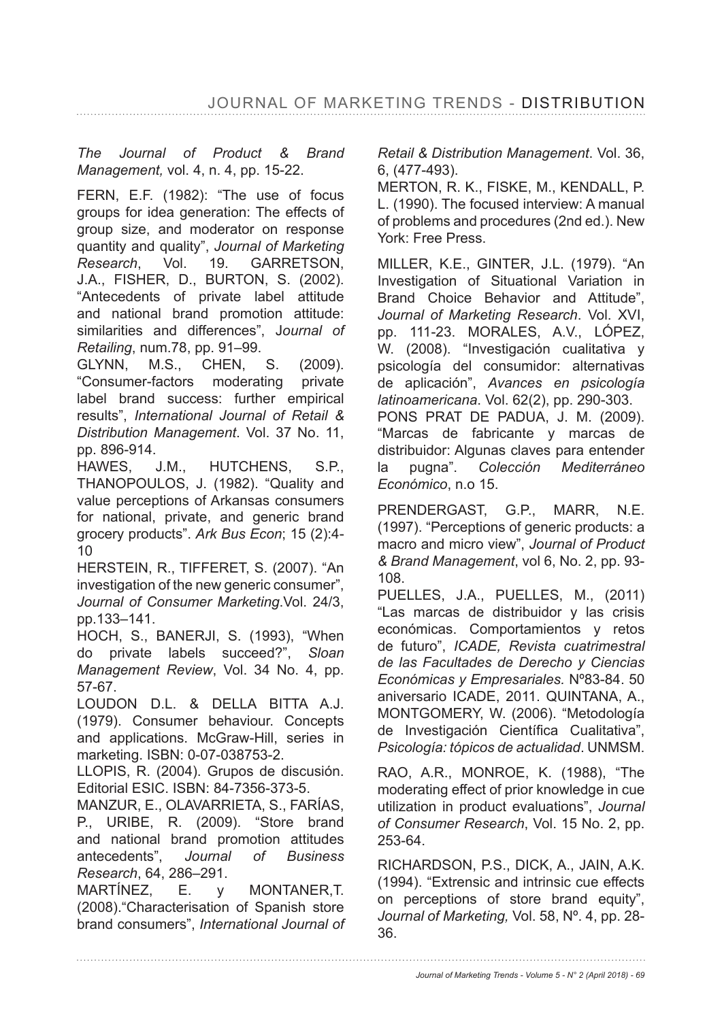*The Journal of Product & Brand Management,* vol. 4, n. 4, pp. 15-22.

FERN, E.F. (1982): "The use of focus groups for idea generation: The effects of group size, and moderator on response quantity and quality", *Journal of Marketing Research*, Vol. 19. GARRETSON, J.A., FISHER, D., BURTON, S. (2002). "Antecedents of private label attitude and national brand promotion attitude: similarities and differences", J*ournal of Retailing*, num.78, pp. 91-99.

GLYNN, M.S., CHEN, S. (2009). "Consumer-factors moderating private label brand success: further empirical results", *International Journal of Retail & Distribution Management. Vol. 37 No. 11,* pp. 896-914.

HAWES, J.M., HUTCHENS, S.P., THANOPOULOS, J. (1982). "Quality and value perceptions of Arkansas consumers for national, private, and generic brand grocery products". *Ark Bus Econ*; 15 (2):4- 10

HERSTEIN, R., TIFFERET, S. (2007). "An investigation of the new generic consumer", *Journal of Consumer Marketing*.Vol. 24/3, pp.133–141.

HOCH, S., BANERJI, S. (1993), "When do private labels succeed?", Sloan *Management Review*, Vol. 34 No. 4, pp.  $57-67.$ 

LOUDON D.L. & DELLA BITTA A.J. (1979). Consumer behaviour. Concepts and applications. McGraw-Hill, series in marketing. ISBN: 0-07-038753-2.

LLOPIS, R. (2004). Grupos de discusión. Editorial ESIC. ISBN: 84-7356-373-5.

MANZUR, E., OLAVARRIETA, S., FARÍAS, P., URIBE, R. (2009). "Store brand and national brand promotion attitudes antecedents", *Journal of Business Research*, 64, 286–291.

MARTÍNEZ, E. y MONTANER,T. (2008)."Characterisation of Spanish store brand consumers", *International Journal of*  *Retail & Distribution Management*. Vol. 36, 6. (477-493).

MERTON, R. K., FISKE, M., KENDALL, P. L. (1990). The focused interview: A manual of problems and procedures (2nd ed.). New York: Free Press.

MILLER, K.E., GINTER, J.L. (1979). "An Investigation of Situational Variation in Brand Choice Behavior and Attitude", *Journal of Marketing Research*. Vol. XVI, pp. 111-23. MORALES, A.V., LÓPEZ, W. (2008). "Investigación cualitativa y psicología del consumidor: alternativas de aplicación", *Avances en psicología latinoamericana*. Vol. 62(2), pp. 290-303. PONS PRAT DE PADUA, J. M. (2009). "Marcas de fabricante y marcas de distribuidor: Algunas claves para entender la pugna". *Colección Mediterráneo Económico*, n.o 15.

PRENDERGAST, G.P., MARR, N.E. (1997). "Perceptions of generic products: a macro and micro view", *Journal of Product & Brand Management*, vol 6, No. 2, pp. 93- 108.

PUELLES, J.A., PUELLES, M., (2011) "Las marcas de distribuidor y las crisis económicas. Comportamientos y retos de futuro", *ICADE, Revista cuatrimestral de las Facultades de Derecho y Ciencias Económicas y Empresariales.* Nº83-84. 50 aniversario ICADE, 2011. QUINTANA, A., MONTGOMERY, W. (2006). "Metodología de Investigación Científica Cualitativa", *Psicología: tópicos de actualidad*. UNMSM.

RAO, A.R., MONROE, K. (1988), "The moderating effect of prior knowledge in cue utilization in product evaluations", *Journal of Consumer Research*, Vol. 15 No. 2, pp. 253-64.

RICHARDSON, P.S., DICK, A., JAIN, A.K. (1994). "Extrensic and intrinsic cue effects on perceptions of store brand equity", *Journal of Marketing,* Vol. 58, Nº. 4, pp. 28- 36.